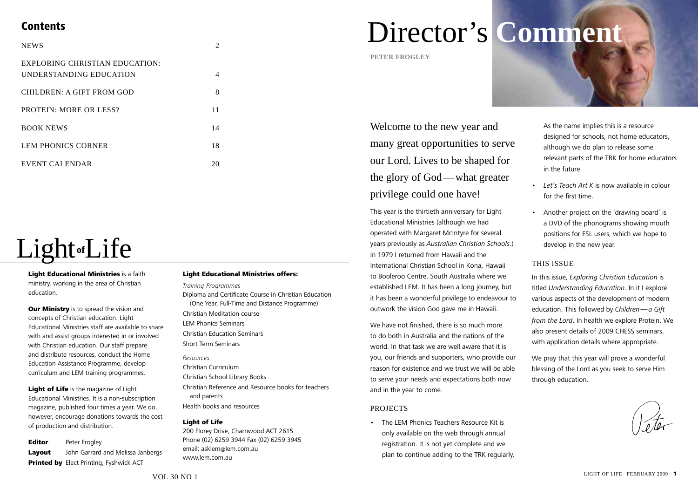## **Contents**

| <b>NEWS</b>                                               | 2  |
|-----------------------------------------------------------|----|
| EXPLORING CHRISTIAN EDUCATION:<br>UNDERSTANDING EDUCATION | 4  |
| CHILDREN: A GIFT FROM GOD                                 | 8  |
| <b>PROTEIN: MORE OR LESS?</b>                             | 11 |
| <b>BOOK NEWS</b>                                          | 14 |
| LEM PHONICS CORNER                                        | 18 |
| EVENT CALENDAR                                            | 20 |

# Light**of**Life

**Light Educational Ministries** is a faith ministry, working in the area of Christian education.

**Our Ministry** is to spread the vision and concepts of Christian education. Light Educational Ministries staff are available to share with and assist groups interested in or involved with Christian education. Our staff prepare and distribute resources, conduct the Home Education Assistance Programme, develop curriculum and LEM training programmes.

Light of Life is the magazine of Light Educational Ministries. It is a non-subscription magazine, published four times a year. We do, however, encourage donations towards the cost of production and distribution.

**Editor** Peter Frogley Lavout John Garrard and Melissa Janbergs Printed by Elect Printing, Fyshwick ACT

#### Light Educational Ministries offers:

#### *Training Programmes*

Diploma and Certificate Course in Christian Education (One Year, Full-Time and Distance Programme) Christian Meditation course LEM Phonics Seminars Christian Education Seminars Short Term Seminars

*Resources* Christian Curriculum Christian School Library Books Christian Reference and Resource books for teachers and parents Health books and resources

#### Light of Life

200 Florey Drive, Charnwood ACT 2615 Phone (02) 6259 3944 Fax (02) 6259 3945 email: asklem@lem.com.au www.lem.com.au

# Director's **Comment**

**peter frogley**

Welcome to the new year and many great opportunities to serve our Lord. Lives to be shaped for the glory of God—what greater privilege could one have!

This year is the thirtieth anniversary for Light Educational Ministries (although we had operated with Margaret McIntyre for several years previously as *Australian Christian Schools*.) In 1979 I returned from Hawaii and the International Christian School in Kona, Hawaii to Booleroo Centre, South Australia where we established LEM. It has been a long journey, but it has been a wonderful privilege to endeavour to outwork the vision God gave me in Hawaii.

We have not finished, there is so much more to do both in Australia and the nations of the world. In that task we are well aware that it is you, our friends and supporters, who provide our reason for existence and we trust we will be able to serve your needs and expectations both now and in the year to come.

#### **PROJECTS**

• The LEM Phonics Teachers Resource Kit is only available on the web through annual registration. It is not yet complete and we plan to continue adding to the TRK regularly.



although we do plan to release some relevant parts of the TRK for home educators in the future.

- • *Let's Teach Art K* is now available in colour for the first time.
- • Another project on the 'drawing board' is a DVD of the phonograms showing mouth positions for ESL users, which we hope to develop in the new year.

#### This Issue

In this issue, *Exploring Christian Education* is titled *Understanding Education*. In it I explore various aspects of the development of modern education. This followed by *Children—a Gift from the Lord*. In health we explore Protein. We also present details of 2009 CHESS seminars, with application details where appropriate.

We pray that this year will prove a wonderful blessing of the Lord as you seek to serve Him through education.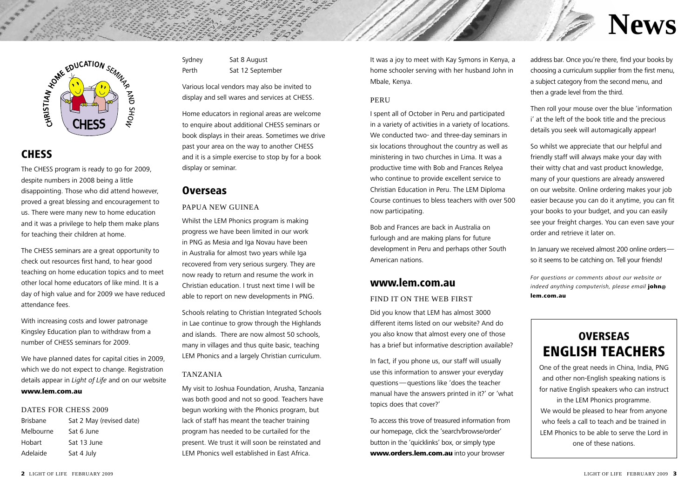

## **CHESS**

The CHESS program is ready to go for 2009, despite numbers in 2008 being a little disappointing. Those who did attend however, proved a great blessing and encouragement to us. There were many new to home education and it was a privilege to help them make plans for teaching their children at home.

The CHESS seminars are a great opportunity to check out resources first hand, to hear good teaching on home education topics and to meet other local home educators of like mind. It is a day of high value and for 2009 we have reduced attendance fees.

With increasing costs and lower patronage Kingsley Education plan to withdraw from a number of CHESS seminars for 2009.

We have planned dates for capital cities in 2009, which we do not expect to change. Registration details appear in *Light of Life* and on our website

## www.lem.com.au

#### DATES FOR CHESS 2009

| <b>Brisbane</b> | Sat 2 May (revised date) |
|-----------------|--------------------------|
| Melbourne       | Sat 6 June               |
| Hobart          | Sat 13 June              |
| Adelaide        | Sat 4 July               |

Sydney Sat 8 August Perth Sat 12 September

Various local vendors may also be invited to display and sell wares and services at CHESS.

Home educators in regional areas are welcome to enquire about additional CHESS seminars or book displays in their areas. Sometimes we drive past your area on the way to another CHESS and it is a simple exercise to stop by for a book display or seminar.

## **Overseas**

#### Papua New Guinea

Whilst the LEM Phonics program is making progress we have been limited in our work in PNG as Mesia and Iga Novau have been in Australia for almost two years while Iga recovered from very serious surgery. They are now ready to return and resume the work in Christian education. I trust next time I will be able to report on new developments in PNG.

Schools relating to Christian Integrated Schools in Lae continue to grow through the Highlands and islands. There are now almost 50 schools, many in villages and thus quite basic, teaching LEM Phonics and a largely Christian curriculum.

## Tanzania

My visit to Joshua Foundation, Arusha, Tanzania was both good and not so good. Teachers have begun working with the Phonics program, but lack of staff has meant the teacher training program has needed to be curtailed for the present. We trust it will soon be reinstated and LEM Phonics well established in East Africa.

It was a joy to meet with Kay Symons in Kenya, a home schooler serving with her husband John in Mbale, Kenya.

#### **PERU**

I spent all of October in Peru and participated in a variety of activities in a variety of locations. We conducted two- and three-day seminars in six locations throughout the country as well as ministering in two churches in Lima. It was a productive time with Bob and Frances Relyea who continue to provide excellent service to Christian Education in Peru. The LEM Diploma Course continues to bless teachers with over 500 now participating.

Bob and Frances are back in Australia on furlough and are making plans for future development in Peru and perhaps other South American nations.

## www.lem.com.au

#### FIND IT ON THE WEB FIRST

Did you know that LEM has almost 3000 different items listed on our website? And do you also know that almost every one of those has a brief but informative description available?

In fact, if you phone us, our staff will usually use this information to answer your everyday questions—questions like 'does the teacher manual have the answers printed in it?' or 'what topics does that cover?'

To access this trove of treasured information from our homepage, click the 'search/browse/order' button in the 'quicklinks' box, or simply type www.orders.lem.com.au into your browser

address bar. Once you're there, find your books by choosing a curriculum supplier from the first menu, a subject category from the second menu, and then a grade level from the third.

**News**

Then roll your mouse over the blue 'information i' at the left of the book title and the precious details you seek will automagically appear!

So whilst we appreciate that our helpful and friendly staff will always make your day with their witty chat and vast product knowledge, many of your questions are already answered on our website. Online ordering makes your job easier because you can do it anytime, you can fit your books to your budget, and you can easily see your freight charges. You can even save your order and retrieve it later on.

In January we received almost 200 online orders so it seems to be catching on. Tell your friends!

*For questions or comments about our website or indeed anything computerish, please email* john@ lem.com.au

## **OVERSEAS** English Teachers

One of the great needs in China, India, PNG and other non-English speaking nations is for native English speakers who can instruct in the LEM Phonics programme. We would be pleased to hear from anyone who feels a call to teach and be trained in LEM Phonics to be able to serve the Lord in one of these nations.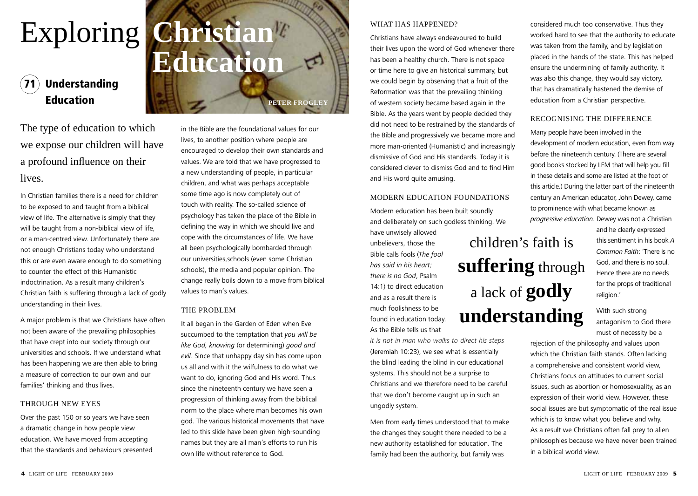## Exploring **Christian Education**

## **Understanding Education** *peter frogley*

The type of education to which we expose our children will have a profound influence on their lives.

In Christian families there is a need for children to be exposed to and taught from a biblical view of life. The alternative is simply that they will be taught from a non-biblical view of life, or a man-centred view. Unfortunately there are not enough Christians today who understand this or are even aware enough to do something to counter the effect of this Humanistic indoctrination. As a result many children's Christian faith is suffering through a lack of godly understanding in their lives.

A major problem is that we Christians have often not been aware of the prevailing philosophies that have crept into our society through our universities and schools. If we understand what has been happening we are then able to bring a measure of correction to our own and our families' thinking and thus lives.

#### Through New Eyes

Over the past 150 or so years we have seen a dramatic change in how people view education. We have moved from accepting that the standards and behaviours presented

in the Bible are the foundational values for our lives, to another position where people are encouraged to develop their own standards and values. We are told that we have progressed to a new understanding of people, in particular children, and what was perhaps acceptable some time ago is now completely out of touch with reality. The so-called science of psychology has taken the place of the Bible in defining the way in which we should live and cope with the circumstances of life. We have all been psychologically bombarded through our universities,schools (even some Christian schools), the media and popular opinion. The change really boils down to a move from biblical values to man's values.

#### The Problem

It all began in the Garden of Eden when Eve succumbed to the temptation that *you will be like God, knowing* (or determining) *good and evil*. Since that unhappy day sin has come upon us all and with it the wilfulness to do what we want to do, ignoring God and His word. Thus since the nineteenth century we have seen a progression of thinking away from the biblical norm to the place where man becomes his own god. The various historical movements that have led to this slide have been given high-sounding names but they are all man's efforts to run his own life without reference to God.

#### WHAT HAS HAPPENED?

Christians have always endeavoured to build their lives upon the word of God whenever there has been a healthy church. There is not space or time here to give an historical summary, but we could begin by observing that a fruit of the Reformation was that the prevailing thinking of western society became based again in the Bible. As the years went by people decided they did not need to be restrained by the standards of the Bible and progressively we became more and more man-oriented (Humanistic) and increasingly dismissive of God and His standards. Today it is considered clever to dismiss God and to find Him and His word quite amusing.

### Modern Education Foundations

Modern education has been built soundly and deliberately on such godless thinking. We

children's faith is

**suffering** through

a lack of **godly** 

**understanding**

have unwisely allowed unbelievers, those the Bible calls fools (*The fool has said in his heart; there is no God*, Psalm 14:1) to direct education and as a result there is much foolishness to be found in education today. As the Bible tells us that

*it is not in man who walks to direct his steps* (Jeremiah 10:23), we see what is essentially the blind leading the blind in our educational systems. This should not be a surprise to Christians and we therefore need to be careful that we don't become caught up in such an ungodly system.

Men from early times understood that to make the changes they sought there needed to be a new authority established for education. The family had been the authority, but family was

considered much too conservative. Thus they worked hard to see that the authority to educate was taken from the family, and by legislation placed in the hands of the state. This has helped ensure the undermining of family authority. It was also this change, they would say victory, that has dramatically hastened the demise of education from a Christian perspective.

## Recognising the Difference

Many people have been involved in the development of modern education, even from way before the nineteenth century. (There are several good books stocked by LEM that will help you fill in these details and some are listed at the foot of this article.) During the latter part of the nineteenth century an American educator, John Dewey, came to prominence with what became known as *progressive education*. Dewey was not a Christian

> and he clearly expressed this sentiment in his book *A Common Faith*: 'There is no God, and there is no soul. Hence there are no needs for the props of traditional religion.'

With such strong antagonism to God there must of necessity be a

rejection of the philosophy and values upon which the Christian faith stands. Often lacking a comprehensive and consistent world view, Christians focus on attitudes to current social issues, such as abortion or homosexuality, as an expression of their world view. However, these social issues are but symptomatic of the real issue which is to know what you believe and why. As a result we Christians often fall prey to alien philosophies because we have never been trained in a biblical world view.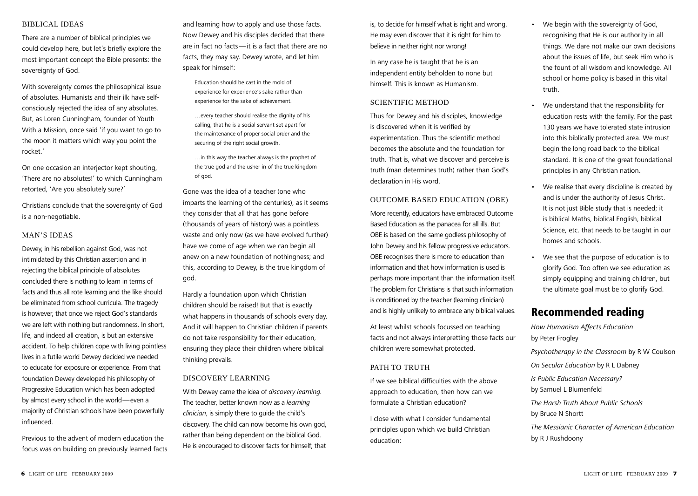#### Biblical Ideas

There are a number of biblical principles we could develop here, but let's briefly explore the most important concept the Bible presents: the sovereignty of God.

With sovereignty comes the philosophical issue of absolutes. Humanists and their ilk have selfconsciously rejected the idea of any absolutes. But, as Loren Cunningham, founder of Youth With a Mission, once said 'if you want to go to the moon it matters which way you point the rocket.'

On one occasion an interjector kept shouting, 'There are no absolutes!' to which Cunningham retorted, 'Are you absolutely sure?'

Christians conclude that the sovereignty of God is a non-negotiable.

#### MAN'S IDEAS

Dewey, in his rebellion against God, was not intimidated by this Christian assertion and in rejecting the biblical principle of absolutes concluded there is nothing to learn in terms of facts and thus all rote learning and the like should be eliminated from school curricula. The tragedy is however, that once we reject God's standards we are left with nothing but randomness. In short, life, and indeed all creation, is but an extensive accident. To help children cope with living pointless lives in a futile world Dewey decided we needed to educate for exposure or experience. From that foundation Dewey developed his philosophy of Progressive Education which has been adopted by almost every school in the world—even a majority of Christian schools have been powerfully influenced.

Previous to the advent of modern education the focus was on building on previously learned facts and learning how to apply and use those facts. Now Dewey and his disciples decided that there are in fact no facts—it is a fact that there are no facts, they may say. Dewey wrote, and let him speak for himself:

Education should be cast in the mold of experience for experience's sake rather than experience for the sake of achievement.

…every teacher should realise the dignity of his calling; that he is a social servant set apart for the maintenance of proper social order and the securing of the right social growth.

…in this way the teacher always is the prophet of the true god and the usher in of the true kingdom of god.

Gone was the idea of a teacher (one who imparts the learning of the centuries), as it seems they consider that all that has gone before (thousands of years of history) was a pointless waste and only now (as we have evolved further) have we come of age when we can begin all anew on a new foundation of nothingness; and this, according to Dewey, is the true kingdom of god.

Hardly a foundation upon which Christian children should be raised! But that is exactly what happens in thousands of schools every day. And it will happen to Christian children if parents do not take responsibility for their education, ensuring they place their children where biblical thinking prevails.

#### Discovery Learning

With Dewey came the idea of *discovery learning.*  The teacher, better known now as a *learning clinician*, is simply there to guide the child's discovery. The child can now become his own god, rather than being dependent on the biblical God. He is encouraged to discover facts for himself; that is, to decide for himself what is right and wrong. He may even discover that it is right for him to believe in neither right nor wrong!

In any case he is taught that he is an independent entity beholden to none but himself. This is known as Humanism.

#### SCIENTIFIC METHOD

Thus for Dewey and his disciples, knowledge is discovered when it is verified by experimentation. Thus the scientific method becomes the absolute and the foundation for truth. That is, what we discover and perceive is truth (man determines truth) rather than God's declaration in His word.

#### Outcome Based Education (OBE)

More recently, educators have embraced Outcome Based Education as the panacea for all ills. But OBE is based on the same godless philosophy of John Dewey and his fellow progressive educators. OBE recognises there is more to education than information and that how information is used is perhaps more important than the information itself. The problem for Christians is that such information is conditioned by the teacher (learning clinician) and is highly unlikely to embrace any biblical values.

At least whilst schools focussed on teaching facts and not always interpretting those facts our children were somewhat protected.

#### PATH TO TRUTH

If we see biblical difficulties with the above approach to education, then how can we formulate a Christian education?

I close with what I consider fundamental principles upon which we build Christian education:

- • We begin with the sovereignty of God, recognising that He is our authority in all things. We dare not make our own decisions about the issues of life, but seek Him who is the fount of all wisdom and knowledge. All school or home policy is based in this vital truth.
- We understand that the responsibility for education rests with the family. For the past 130 years we have tolerated state intrusion into this biblically protected area. We must begin the long road back to the biblical standard. It is one of the great foundational principles in any Christian nation.
- We realise that every discipline is created by and is under the authority of Jesus Christ. It is not just Bible study that is needed; it is biblical Maths, biblical English, biblical Science, etc. that needs to be taught in our homes and schools.
- • We see that the purpose of education is to glorify God. Too often we see education as simply equipping and training children, but the ultimate goal must be to glorify God.

## Recommended reading

*How Humanism Affects Education* by Peter Frogley *Psychotherapy in the Classroom* by R W Coulson *On Secular Education* by R L Dabney *Is Public Education Necessary?* by Samuel L Blumenfeld *The Harsh Truth About Public Schools* by Bruce N Shortt *The Messianic Character of American Education*  by R J Rushdoony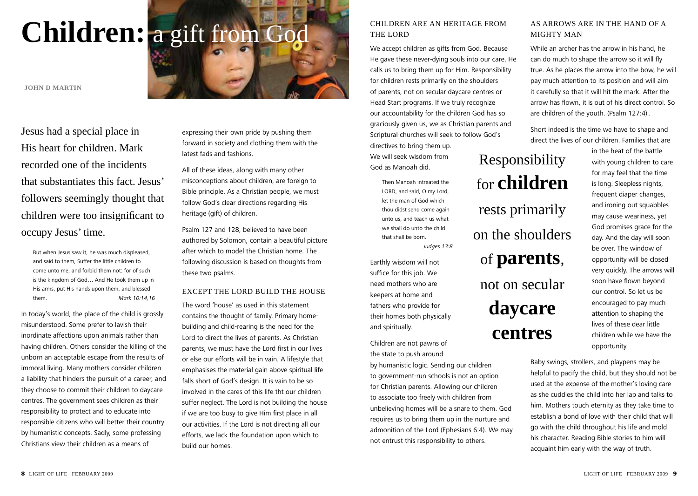# Children: a gift from God **Children ARE AN HERITAGE FROM**

**John D Martin**

Jesus had a special place in His heart for children. Mark recorded one of the incidents that substantiates this fact. Jesus' followers seemingly thought that children were too insignificant to occupy Jesus' time.

But when Jesus saw it, he was much displeased, and said to them, Suffer the little children to come unto me, and forbid them not: for of such is the kingdom of God… And He took them up in His arms, put His hands upon them, and blessed them. *Mark 10:14,16*

In today's world, the place of the child is grossly misunderstood. Some prefer to lavish their inordinate affections upon animals rather than having children. Others consider the killing of the unborn an acceptable escape from the results of immoral living. Many mothers consider children a liability that hinders the pursuit of a career, and they choose to commit their children to daycare centres. The government sees children as their responsibility to protect and to educate into responsible citizens who will better their country by humanistic concepts. Sadly, some professing Christians view their children as a means of

expressing their own pride by pushing them forward in society and clothing them with the latest fads and fashions.

All of these ideas, along with many other misconceptions about children, are foreign to Bible principle. As a Christian people, we must follow God's clear directions regarding His heritage (gift) of children.

Psalm 127 and 128, believed to have been authored by Solomon, contain a beautiful picture after which to model the Christian home. The following discussion is based on thoughts from these two psalms.

#### Except the Lord build the house

The word 'house' as used in this statement contains the thought of family. Primary homebuilding and child-rearing is the need for the Lord to direct the lives of parents. As Christian parents, we must have the Lord first in our lives or else our efforts will be in vain. A lifestyle that emphasises the material gain above spiritual life falls short of God's design. It is vain to be so involved in the cares of this life tht our children suffer neglect. The Lord is not building the house if we are too busy to give Him first place in all our activities. If the Lord is not directing all our efforts, we lack the foundation upon which to build our homes.

## THE LORD

We accept children as gifts from God. Because He gave these never-dying souls into our care, He calls us to bring them up for Him. Responsibility for children rests primarily on the shoulders of parents, not on secular daycare centres or Head Start programs. If we truly recognize our accountability for the children God has so graciously given us, we as Christian parents and Scriptural churches will seek to follow God's directives to bring them up. We will seek wisdom from God as Manoah did. Responsibility

Then Manoah intreated the LORD, and said, O my Lord, let the man of God which thou didst send come again unto us, and teach us what we shall do unto the child that shall be born. *Judges 13:8*

Earthly wisdom will not suffice for this job. We need mothers who are keepers at home and fathers who provide for their homes both physically and spiritually.

Children are not pawns of the state to push around by humanistic logic. Sending our children to government-run schools is not an option for Christian parents. Allowing our children to associate too freely with children from unbelieving homes will be a snare to them. God requires us to bring them up in the nurture and admonition of the Lord (Ephesians 6:4). We may not entrust this responsibility to others.

## As Arrows Are in the Hand of a Mighty Man

While an archer has the arrow in his hand, he can do much to shape the arrow so it will fly true. As he places the arrow into the bow, he will pay much attention to its position and will aim it carefully so that it will hit the mark. After the arrow has flown, it is out of his direct control. So are children of the youth. (Psalm 127:4).

Short indeed is the time we have to shape and direct the lives of our children. Families that are

for **children**

rests primarily

on the shoulders

of **parents**,

not on secular

**daycare** 

**centres**

in the heat of the battle with young children to care for may feel that the time is long. Sleepless nights, frequent diaper changes, and ironing out squabbles may cause weariness, yet God promises grace for the day. And the day will soon be over. The window of opportunity will be closed very quickly. The arrows will soon have flown beyond our control. So let us be encouraged to pay much attention to shaping the lives of these dear little children while we have the opportunity.

Baby swings, strollers, and playpens may be helpful to pacify the child, but they should not be used at the expense of the mother's loving care as she cuddles the child into her lap and talks to him. Mothers touch eternity as they take time to establish a bond of love with their child that will go with the child throughout his life and mold his character. Reading Bible stories to him will acquaint him early with the way of truth.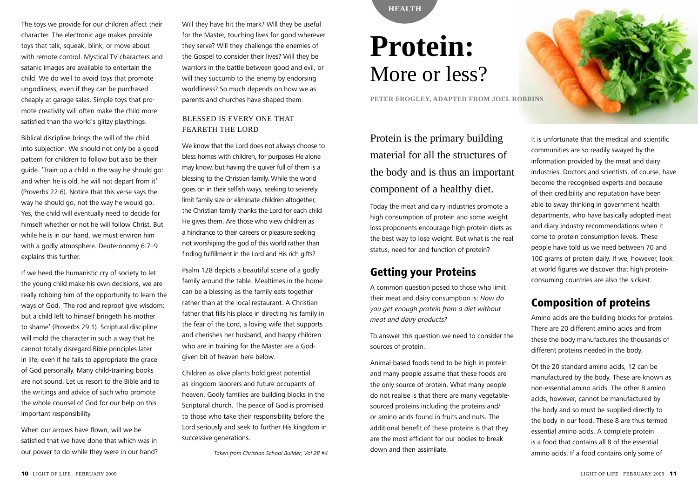The toys we provide for our children affect their character. The electronic age makes possible toys that talk, squeak, blink, or move about with remote control. Mystical TV characters and satanic images are available to entertain the child. We do well to avoid toys that promote ungodliness, even if they can be purchased cheaply at garage sales. Simple toys that promote creativity will often make the child more satisfied than the world's glitzy playthings.

Biblical discipline brings the will of the child into subjection. We should not only be a good pattern for children to follow but also be their guide. 'Train up a child in the way he should go: and when he is old, he will not depart from it' (Proverbs 22:6). Notice that this verse says the way he should go, not the way he would go. Yes, the child will eventually need to decide for himself whether or not he will follow Christ. But while he is in our hand, we must environ him with a godly atmosphere. Deuteronomy 6:7–9 explains this further.

If we heed the humanistic cry of society to let the young child make his own decisions, we are really robbing him of the opportunity to learn the ways of God. 'The rod and reproof give wisdom: but a child left to himself bringeth his mother to shame' (Proverbs 29:1). Scriptural discipline will mold the character in such a way that he cannot totally disregard Bible principles later in life, even if he fails to appropriate the grace of God personally. Many child-training books are not sound. Let us resort to the Bible and to the writings and advice of such who promote the whole counsel of God for our help on this important responsibility.

When our arrows have flown, will we be satisfied that we have done that which was in our power to do while they were in our hand?

Will they have hit the mark? Will they be useful for the Master, touching lives for good wherever they serve? Will they challenge the enemies of the Gospel to consider their lives? Will they be warriors in the battle between good and evil, or will they succumb to the enemy by endorsing worldliness? So much depends on how we as parents and churches have shaped them.

## Blessed Is Every One That FEARETH THE LORD

We know that the Lord does not always choose to bless homes with children, for purposes He alone may know, but having the quiver full of them is a blessing to the Christian family. While the world goes on in their selfish ways, seeking to severely limit family size or eliminate children altogether, the Christian family thanks the Lord for each child He gives them. Are those who view children as a hindrance to their careers or pleasure seeking not worshiping the god of this world rather than finding fulfillment in the Lord and His rich gifts?

Psalm 128 depicts a beautiful scene of a godly family around the table. Mealtimes in the home can be a blessing as the family eats together rather than at the local restaurant. A Christian father that fills his place in directing his family in the fear of the Lord, a loving wife that supports and cherishes her husband, and happy children who are in training for the Master are a Godgiven bit of heaven here below.

Children as olive plants hold great potential as kingdom laborers and future occupants of heaven. Godly families are building blocks in the Scriptural church. The peace of God is promised to those who take their responsibility before the Lord seriously and seek to further His kingdom in successive generations.

*Taken from Christian School Builder; Vol 28 #4*



## **Protein:** More or less?

**Peter Frogley, adapted from Joel Robbins**

## Protein is the primary building material for all the structures of the body and is thus an important component of a healthy diet.

Today the meat and dairy industries promote a high consumption of protein and some weight loss proponents encourage high protein diets as the best way to lose weight. But what is the real status, need for and function of protein?

## Getting your Proteins

A common question posed to those who limit their meat and dairy consumption is: *How do you get enough protein from a diet without meat and dairy products?*

To answer this question we need to consider the sources of protein.

Animal-based foods tend to be high in protein and many people assume that these foods are the only source of protein. What many people do not realise is that there are many vegetablesourced proteins including the proteins and/ or amino acids found in fruits and nuts. The additional benefit of these proteins is that they are the most efficient for our bodies to break down and then assimilate.



It is unfortunate that the medical and scientific communities are so readily swayed by the information provided by the meat and dairy industries. Doctors and scientists, of course, have become the recognised experts and because of their credibility and reputation have been able to sway thinking in government health departments, who have basically adopted meat and diary industry recommendations when it come to protein consumption levels. These people have told us we need between 70 and 100 grams of protein daily. If we, however, look at world figures we discover that high proteinconsuming countries are also the sickest.

## Composition of proteins

Amino acids are the building blocks for proteins. There are 20 different amino acids and from these the body manufactures the thousands of different proteins needed in the body.

Of the 20 standard amino acids, 12 can be manufactured by the body. These are known as non-essential amino acids. The other 8 amino acids, however, cannot be manufactured by the body and so must be supplied directly to the body in our food. These 8 are thus termed essential amino acids. A complete protein is a food that contains all 8 of the essential amino acids. If a food contains only some of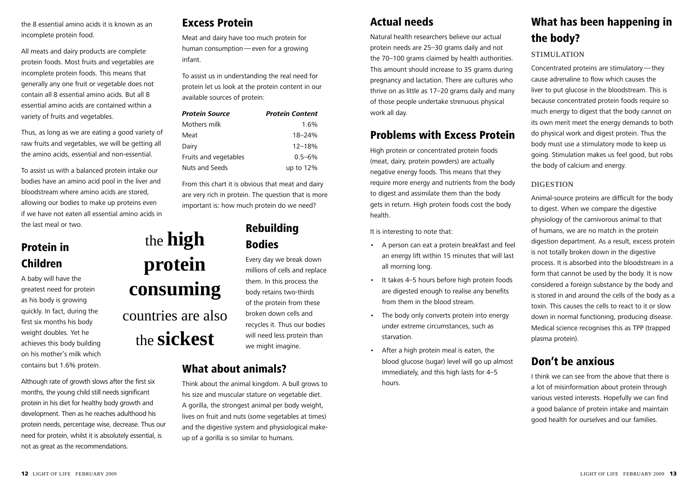the 8 essential amino acids it is known as an incomplete protein food.

All meats and dairy products are complete protein foods. Most fruits and vegetables are incomplete protein foods. This means that generally any one fruit or vegetable does not contain all 8 essential amino acids. But all 8 essential amino acids are contained within a variety of fruits and vegetables.

Thus, as long as we are eating a good variety of raw fruits and vegetables, we will be getting all the amino acids, essential and non-essential.

To assist us with a balanced protein intake our bodies have an amino acid pool in the liver and bloodstream where amino acids are stored, allowing our bodies to make up proteins even if we have not eaten all essential amino acids in the last meal or two.

## Protein in Children

A baby will have the greatest need for protein as his body is growing quickly. In fact, during the first six months his body weight doubles. Yet he achieves this body building on his mother's milk which contains but 1.6% protein.

Although rate of growth slows after the first six months, the young child still needs significant protein in his diet for healthy body growth and development. Then as he reaches adulthood his protein needs, percentage wise, decrease. Thus our need for protein, whilst it is absolutely essential, is not as great as the recommendations.

## Excess Protein

Meat and dairy have too much protein for human consumption—even for a growing infant.

To assist us in understanding the real need for protein let us look at the protein content in our available sources of protein:

| <b>Protein Source</b> | <b>Protein Content</b> |
|-----------------------|------------------------|
| Mothers milk          | 1.6%                   |
| Meat                  | $18 - 24%$             |
| Dairy                 | $12 - 18%$             |
| Fruits and vegetables | $0.5 - 6\%$            |
| Nuts and Seeds        | up to $12%$            |

From this chart it is obvious that meat and dairy are very rich in protein. The question that is more important is: how much protein do we need?

## Rebuilding Bodies

Every day we break down millions of cells and replace them. In this process the body retains two-thirds of the protein from these broken down cells and recycles it. Thus our bodies will need less protein than we might imagine.

## What about animals?

the **high** 

**protein** 

**consuming**

countries are also

the **sickest**

Think about the animal kingdom. A bull grows to his size and muscular stature on vegetable diet. A gorilla, the strongest animal per body weight, lives on fruit and nuts (some vegetables at times) and the digestive system and physiological makeup of a gorilla is so similar to humans.

## Actual needs

Natural health researchers believe our actual protein needs are 25–30 grams daily and not the 70–100 grams claimed by health authorities. This amount should increase to 35 grams during pregnancy and lactation. There are cultures who thrive on as little as 17–20 grams daily and many of those people undertake strenuous physical work all day.

## Problems with Excess Protein

High protein or concentrated protein foods (meat, dairy, protein powders) are actually negative energy foods. This means that they require more energy and nutrients from the body to digest and assimilate them than the body gets in return. High protein foods cost the body health.

It is interesting to note that:

- • A person can eat a protein breakfast and feel an energy lift within 15 minutes that will last all morning long.
- • It takes 4–5 hours before high protein foods are digested enough to realise any benefits from them in the blood stream.
- The body only converts protein into energy under extreme circumstances, such as starvation.
- After a high protein meal is eaten, the blood glucose (sugar) level will go up almost immediately, and this high lasts for 4–5 hours.

## What has been happening in the body?

## STIMULATION

Concentrated proteins are stimulatory—they cause adrenaline to flow which causes the liver to put glucose in the bloodstream. This is because concentrated protein foods require so much energy to digest that the body cannot on its own merit meet the energy demands to both do physical work and digest protein. Thus the body must use a stimulatory mode to keep us going. Stimulation makes us feel good, but robs the body of calcium and energy.

## **DIGESTION**

Animal-source proteins are difficult for the body to digest. When we compare the digestive physiology of the carnivorous animal to that of humans, we are no match in the protein digestion department. As a result, excess protein is not totally broken down in the digestive process. It is absorbed into the bloodstream in a form that cannot be used by the body. It is now considered a foreign substance by the body and is stored in and around the cells of the body as a toxin. This causes the cells to react to it or slow down in normal functioning, producing disease. Medical science recognises this as TPP (trapped plasma protein).

## Don't be anxious

I think we can see from the above that there is a lot of misinformation about protein through various vested interests. Hopefully we can find a good balance of protein intake and maintain good health for ourselves and our families.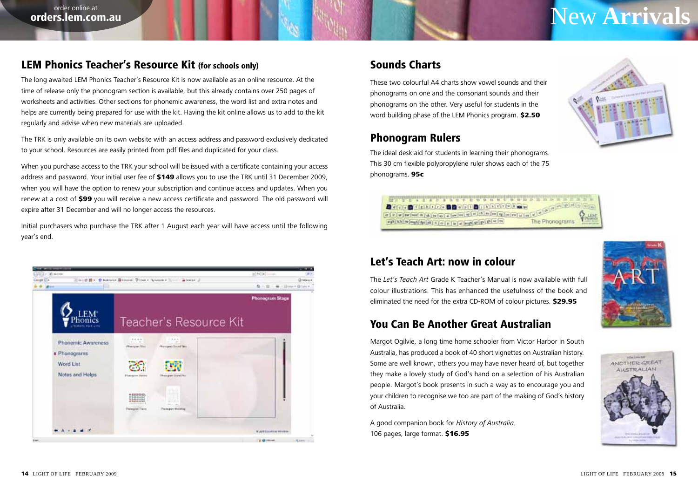## order online at **a comparation of the set online at a set online at a set online at a set online at a set online at a set online at a set of**  $\bf New Arrivals$

## LEM Phonics Teacher's Resource Kit (for schools only)

The long awaited LEM Phonics Teacher's Resource Kit is now available as an online resource. At the time of release only the phonogram section is available, but this already contains over 250 pages of worksheets and activities. Other sections for phonemic awareness, the word list and extra notes and helps are currently being prepared for use with the kit. Having the kit online allows us to add to the kit regularly and advise when new materials are uploaded.

The TRK is only available on its own website with an access address and password exclusively dedicated to your school. Resources are easily printed from pdf files and duplicated for your class.

When you purchase access to the TRK your school will be issued with a certificate containing your access address and password. Your initial user fee of \$149 allows you to use the TRK until 31 December 2009, when you will have the option to renew your subscription and continue access and updates. When you renew at a cost of \$99 you will receive a new access certificate and password. The old password will expire after 31 December and will no longer access the resources.

Initial purchasers who purchase the TRK after 1 August each year will have access until the following year's end.



## Sounds Charts

These two colourful A4 charts show vowel sounds and their phonograms on one and the consonant sounds and their phonograms on the other. Very useful for students in the word building phase of the LEM Phonics program. \$2.50

## Phonogram Rulers

The ideal desk aid for students in learning their phonograms. This 30 cm flexible polypropylene ruler shows each of the 75 phonograms. 95c





## Let's Teach Art: now in colour

The *Let's Teach Art* Grade K Teacher's Manual is now available with full colour illustrations. This has enhanced the usefulness of the book and eliminated the need for the extra CD-ROM of colour pictures. \$29.95

## You Can Be Another Great Australian

Margot Ogilvie, a long time home schooler from Victor Harbor in South Australia, has produced a book of 40 short vignettes on Australian history. Some are well known, others you may have never heard of, but together they make a lovely study of God's hand on a selection of his Australian people. Margot's book presents in such a way as to encourage you and your children to recognise we too are part of the making of God's history of Australia.

A good companion book for *History of Australia.* 106 pages, large format. \$16.95

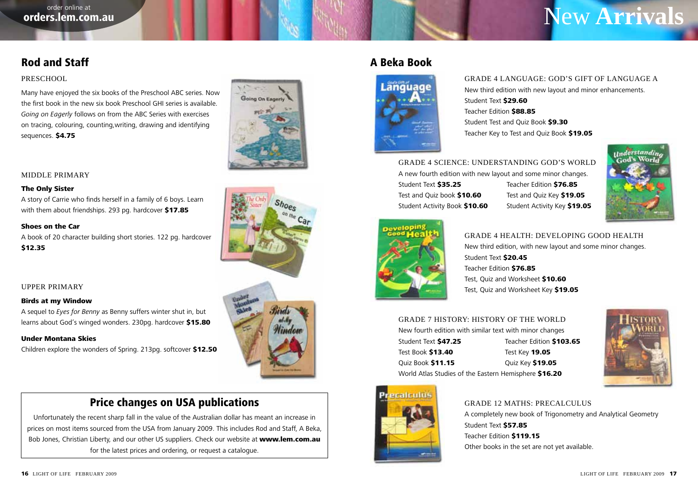## New **Arrivals**

## Rod and Staff

## **PRESCHOOL**

Many have enjoyed the six books of the Preschool ABC series. Now the first book in the new six book Preschool GHI series is available. *Going on Eagerly* follows on from the ABC Series with exercises on tracing, colouring, counting,writing, drawing and identifying sequences. \$4.75



#### The Only Sister

A story of Carrie who finds herself in a family of 6 boys. Learn with them about friendships. 293 pg. hardcover \$17.85

#### Shoes on the Car

A book of 20 character building short stories. 122 pg. hardcover \$12.35

### Upper Primary

#### Birds at my Window

A sequel to *Eyes for Benny* as Benny suffers winter shut in, but learns about God's winged wonders. 230pg. hardcover \$15.80

#### Under Montana Skies

Children explore the wonders of Spring. 213pg. softcover \$12.50

## Price changes on USA publications

Unfortunately the recent sharp fall in the value of the Australian dollar has meant an increase in prices on most items sourced from the USA from January 2009. This includes Rod and Staff, A Beka, Bob Jones, Christian Liberty, and our other US suppliers. Check our website at www.lem.com.au for the latest prices and ordering, or request a catalogue.







## A Beka Book



Grade 4 Language: God's Gift of Language A New third edition with new layout and minor enhancements. Student Text \$29.60 Teacher Edition **\$88.85** Student Test and Quiz Book \$9.30 Teacher Key to Test and Quiz Book \$19.05

Grade 4 Science: Understanding god's world A new fourth edition with new layout and some minor changes. Student Text **\$35.25** Teacher Edition **\$76.85** Test and Quiz book \$10.60 Test and Quiz Key \$19.05 Student Activity Book \$10.60 Student Activity Key \$19.05



Grade 4 Health: Developing good health New third edition, with new layout and some minor changes. Student Text \$20.45 Teacher Edition \$76.85 Test, Quiz and Worksheet \$10.60 Test, Ouiz and Worksheet Key \$19.05

Grade 7 History: History of the world New fourth edition with similar text with minor changes Student Text \$47.25 Teacher Edition \$103.65 Test Book \$13.40 Test Key 19.05 Quiz Book \$11.15 Quiz Key \$19.05 World Atlas Studies of the Eastern Hemisphere \$16.20



**Inderstandin** God's World



#### Grade 12 Maths: Precalculus

A completely new book of Trigonometry and Analytical Geometry Student Text \$57.85 Teacher Edition \$119.15 Other books in the set are not yet available.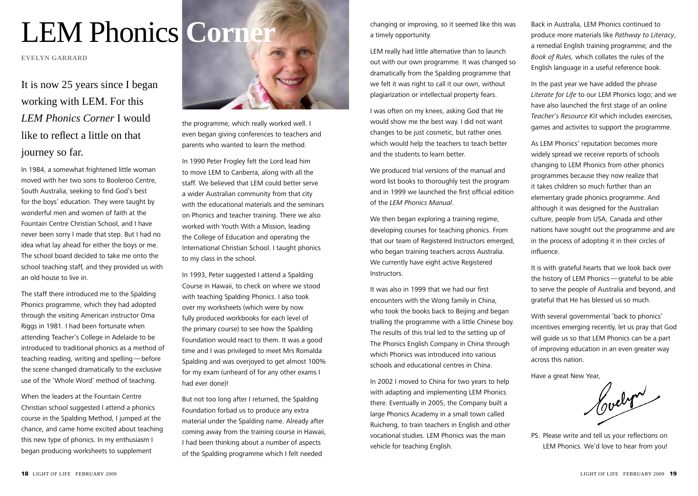# LEM Phonics Corner and The proving, so it seemed like this was

**evelyn garrard**

It is now 25 years since I began working with LEM. For this *LEM Phonics Corner* I would like to reflect a little on that journey so far.

In 1984, a somewhat frightened little woman moved with her two sons to Booleroo Centre, South Australia, seeking to find God's best for the boys' education. They were taught by wonderful men and women of faith at the Fountain Centre Christian School, and I have never been sorry I made that step. But I had no idea what lay ahead for either the boys or me. The school board decided to take me onto the school teaching staff, and they provided us with an old house to live in.

The staff there introduced me to the Spalding Phonics programme, which they had adopted through the visiting American instructor Oma Riggs in 1981. I had been fortunate when attending Teacher's College in Adelaide to be introduced to traditional phonics as a method of teaching reading, writing and spelling—before the scene changed dramatically to the exclusive use of the 'Whole Word' method of teaching.

When the leaders at the Fountain Centre Christian school suggested I attend a phonics course in the Spalding Method, I jumped at the chance, and came home excited about teaching this new type of phonics. In my enthusiasm I began producing worksheets to supplement



the programme, which really worked well. I even began giving conferences to teachers and parents who wanted to learn the method.

In 1990 Peter Frogley felt the Lord lead him to move LEM to Canberra, along with all the staff. We believed that LEM could better serve a wider Australian community from that city with the educational materials and the seminars on Phonics and teacher training. There we also worked with Youth With a Mission, leading the College of Education and operating the International Christian School. I taught phonics to my class in the school.

In 1993, Peter suggested I attend a Spalding Course in Hawaii, to check on where we stood with teaching Spalding Phonics. I also took over my worksheets (which were by now fully produced workbooks for each level of the primary course) to see how the Spalding Foundation would react to them. It was a good time and I was privileged to meet Mrs Romalda Spalding and was overjoyed to get almost 100% for my exam (unheard of for any other exams I had ever done)!

But not too long after I returned, the Spalding Foundation forbad us to produce any extra material under the Spalding name. Already after coming away from the training course in Hawaii, I had been thinking about a number of aspects of the Spalding programme which I felt needed

a timely opportunity.

LEM really had little alternative than to launch out with our own programme. It was changed so dramatically from the Spalding programme that we felt it was right to call it our own, without plagiarization or intellectual property fears.

I was often on my knees, asking God that He would show me the best way. I did not want changes to be just cosmetic, but rather ones which would help the teachers to teach better and the students to learn better.

We produced trial versions of the manual and word list books to thoroughly test the program and in 1999 we launched the first official edition of the *LEM Phonics Manual*.

We then began exploring a training regime, developing courses for teaching phonics. From that our team of Registered Instructors emerged, who began training teachers across Australia. We currently have eight active Registered Instructors.

It was also in 1999 that we had our first encounters with the Wong family in China, who took the books back to Beijing and began trialling the programme with a little Chinese boy. The results of this trial led to the setting up of The Phonics English Company in China through which Phonics was introduced into various schools and educational centres in China.

In 2002 I moved to China for two years to help with adapting and implementing LEM Phonics there. Eventually in 2005, the Company built a large Phonics Academy in a small town called Ruicheng, to train teachers in English and other vocational studies. LEM Phonics was the main vehicle for teaching English.

Back in Australia, LEM Phonics continued to produce more materials like *Pathway to Literacy*, a remedial English training programme; and the *Book of Rules,* which collates the rules of the English language in a useful reference book.

In the past year we have added the phrase *Literate for Life* to our LEM Phonics logo; and we have also launched the first stage of an online *Teacher's Resource Kit* which includes exercises, games and activites to support the programme.

As LEM Phonics' reputation becomes more widely spread we receive reports of schools changing to LEM Phonics from other phonics programmes because they now realize that it takes children so much further than an elementary grade phonics programme. And although it was designed for the Australian culture, people from USA, Canada and other nations have sought out the programme and are in the process of adopting it in their circles of influence.

It is with grateful hearts that we look back over the history of LEM Phonics—grateful to be able to serve the people of Australia and beyond, and grateful that He has blessed us so much.

With several governmental 'back to phonics' incentives emerging recently, let us pray that God will guide us so that LEM Phonics can be a part of improving education in an even greater way across this nation.

Have a great New Year,

Codern

PS. Please write and tell us your reflections on LEM Phonics. We'd love to hear from you!